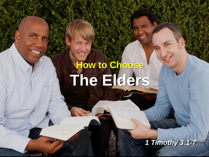# **How to Choose The Elders**

*1 Timothy 3:1-7*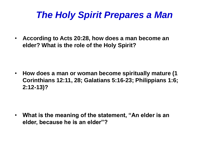# *The Holy Spirit Prepares a Man*

• **According to Acts 20:28, how does a man become an elder? What is the role of the Holy Spirit?**

• **How does a man or woman become spiritually mature (1 Corinthians 12:11, 28; Galatians 5:16-23; Philippians 1:6; 2:12-13)?**

• **What is the meaning of the statement, "An elder is an elder, because he is an elder"?**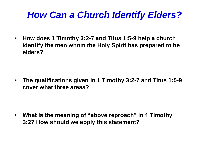# *How Can a Church Identify Elders?*

• **How does 1 Timothy 3:2-7 and Titus 1:5-9 help a church identify the men whom the Holy Spirit has prepared to be elders?**

• **The qualifications given in 1 Timothy 3:2-7 and Titus 1:5-9 cover what three areas?**

• **What is the meaning of "above reproach" in 1 Timothy 3:2? How should we apply this statement?**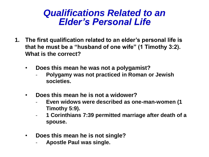- **1. The first qualification related to an elder's personal life is that he must be a "husband of one wife" (1 Timothy 3:2). What is the correct?**
	- **Does this mean he was not a polygamist?**
		- **Polygamy was not practiced in Roman or Jewish societies.**
	- **Does this mean he is not a widower?**
		- **Even widows were described as one-man-women (1 Timothy 5:9).**
		- **1 Corinthians 7:39 permitted marriage after death of a spouse.**
	- **Does this mean he is not single?**
		- **Apostle Paul was single.**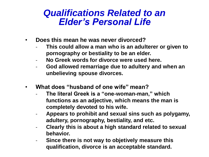- **Does this mean he was never divorced?**
	- **This could allow a man who is an adulterer or given to pornography or bestiality to be an elder.**
	- **No Greek words for divorce were used here.**
	- **God allowed remarriage due to adultery and when an unbelieving spouse divorces.**
- **What does "husband of one wife" mean?**
	- **The literal Greek is a "one-woman-man," which functions as an adjective, which means the man is completely devoted to his wife.**
	- **Appears to prohibit and sexual sins such as polygamy, adultery, pornography, bestiality, and etc.**
	- **Clearly this is about a high standard related to sexual behavior.**
	- **Since there is not way to objetively measure this qualification, divorce is an acceptable standard.**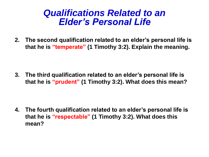**2. The second qualification related to an elder's personal life is that he is "temperate" (1 Timothy 3:2). Explain the meaning.**

**3. The third qualification related to an elder's personal life is that he is "prudent" (1 Timothy 3:2). What does this mean?**

**4. The fourth qualification related to an elder's personal life is that he is "respectable" (1 Timothy 3:2). What does this mean?**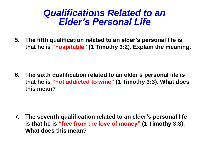**5. The fifth qualification related to an elder's personal life is that he is "hospitable" (1 Timothy 3:2). Explain the meaning.**

**6. The sixth qualification related to an elder's personal life is that he is "not addicted to wine" (1 Timothy 3:3). What does this mean?**

**7. The seventh qualification related to an elder's personal life is that he is "free from the love of money" (1 Timothy 3:3). What does this mean?**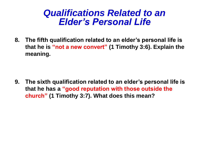**8. The fifth qualification related to an elder's personal life is that he is "not a new convert" (1 Timothy 3:6). Explain the meaning.**

**9. The sixth qualification related to an elder's personal life is that he has a "good reputation with those outside the church" (1 Timothy 3:7). What does this mean?**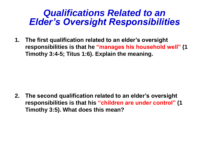### *Qualifications Related to an Elder's Oversight Responsibilities*

**1. The first qualification related to an elder's oversight responsibilities is that he "manages his household well" (1 Timothy 3:4-5; Titus 1:6). Explain the meaning.**

**2. The second qualification related to an elder's oversight responsibilities is that his "children are under control" (1 Timothy 3:5). What does this mean?**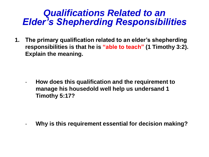### *Qualifications Related to an Elder's Shepherding Responsibilities*

**1. The primary qualification related to an elder's shepherding responsibilities is that he is "able to teach" (1 Timothy 3:2). Explain the meaning.**

- **How does this qualification and the requirement to manage his housedold well help us undersand 1 Timothy 5:17?**

- **Why is this requirement essential for decision making?**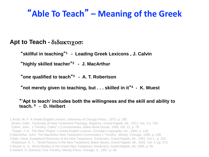## "**Able To Teach**" **– Meaning of the Greek**

#### **Apt to Teach - διδακτιχοσ:**

"**skillful in teaching**" **<sup>1</sup>- Leading Greek Lexicons , J. Calvin**

"**highly skilled teacher**" **<sup>2</sup>- J. MacArthur**

"**one qualified to teach**" **<sup>3</sup>- A. T. Robertson**

"**not merely given to teaching, but . . . skilled in it**" **<sup>4</sup>- K. Wuest**

#### "**'Apt to teach' includes both the willingness and the skill and ability to teach. <sup>5</sup>- D. Heibert**

1 Arndt, W. F. A Greek-English Lexicon, University of Chicago Press., 1973. p. 190. Brown, Colin. Dictionary of New Testament Theology, Regency, Grand Rapids, MI., 1971, Vol. 3 p. 759. Calvin, John. 1 Timothy, Calvin's Commentaries, Baker Book House, 1996, Vol. 22, p. 79. Thayer, J. H. The New Thayer's Greek-English Lexicon, Christian Copyrights, Inc., 1981, p. 144. 2 MacArthur, John, The MacArthur New Testament Commentary 1 Timothy, Moody, Chicago, 1995, p. 108 . 3 Balz, Horst, Exegetical Dictionary of the New Testament, Eerdmans, Grand Rapids, MI., 1991, Vol 1., p. 316. Robertson, A. T., Word Pictures in the New Testament, Baker Books, Grand Rapids, MI., 1931, Vol. 4, pp. 572. 4 Wuest, K. S., Word Studies in the Greek New Testament, Eerdmans, Grand Rapids, MI, 1995, p. 55. 5 Hiebert, D. Edmond, First Timothy, Moody Press, Chicago, IL, 1957. p. 66.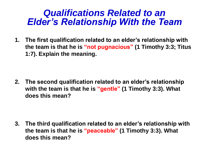### *Qualifications Related to an Elder's Relationship With the Team*

**1. The first qualification related to an elder's relationship with the team is that he is "not pugnacious" (1 Timothy 3:3; Titus 1:7). Explain the meaning.**

**2. The second qualification related to an elder's relationship with the team is that he is "gentle" (1 Timothy 3:3). What does this mean?**

**3. The third qualification related to an elder's relationship with the team is that he is "peaceable" (1 Timothy 3:3). What does this mean?**